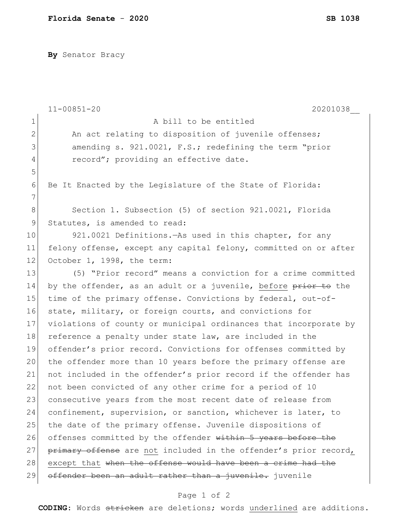**By** Senator Bracy

|                | 20201038<br>$11 - 00851 - 20$                                    |
|----------------|------------------------------------------------------------------|
| $\mathbf 1$    | A bill to be entitled                                            |
| $\mathbf{2}$   | An act relating to disposition of juvenile offenses;             |
| 3              | amending s. 921.0021, F.S.; redefining the term "prior           |
| $\overline{4}$ | record"; providing an effective date.                            |
| 5              |                                                                  |
| 6              | Be It Enacted by the Legislature of the State of Florida:        |
| 7              |                                                                  |
| $\,8\,$        | Section 1. Subsection (5) of section 921.0021, Florida           |
| $\mathsf 9$    | Statutes, is amended to read:                                    |
| 10             | 921.0021 Definitions. - As used in this chapter, for any         |
| 11             | felony offense, except any capital felony, committed on or after |
| 12             | October 1, 1998, the term:                                       |
| 13             | (5) "Prior record" means a conviction for a crime committed      |
| 14             | by the offender, as an adult or a juvenile, before prior to the  |
| 15             | time of the primary offense. Convictions by federal, out-of-     |
| 16             | state, military, or foreign courts, and convictions for          |
| 17             | violations of county or municipal ordinances that incorporate by |
| 18             | reference a penalty under state law, are included in the         |
| 19             | offender's prior record. Convictions for offenses committed by   |
| 20             | the offender more than 10 years before the primary offense are   |
| 21             | not included in the offender's prior record if the offender has  |
| 22             | not been convicted of any other crime for a period of 10         |
| 23             | consecutive years from the most recent date of release from      |
| 24             | confinement, supervision, or sanction, whichever is later, to    |
| 25             | the date of the primary offense. Juvenile dispositions of        |
| 26             | offenses committed by the offender within 5 years before the     |
| 27             | primary offense are not included in the offender's prior record, |
| 28             | except that when the offense would have been a crime had the     |
| 29             | offender been an adult rather than a juvenile. juvenile          |

## Page 1 of 2

**CODING**: Words stricken are deletions; words underlined are additions.